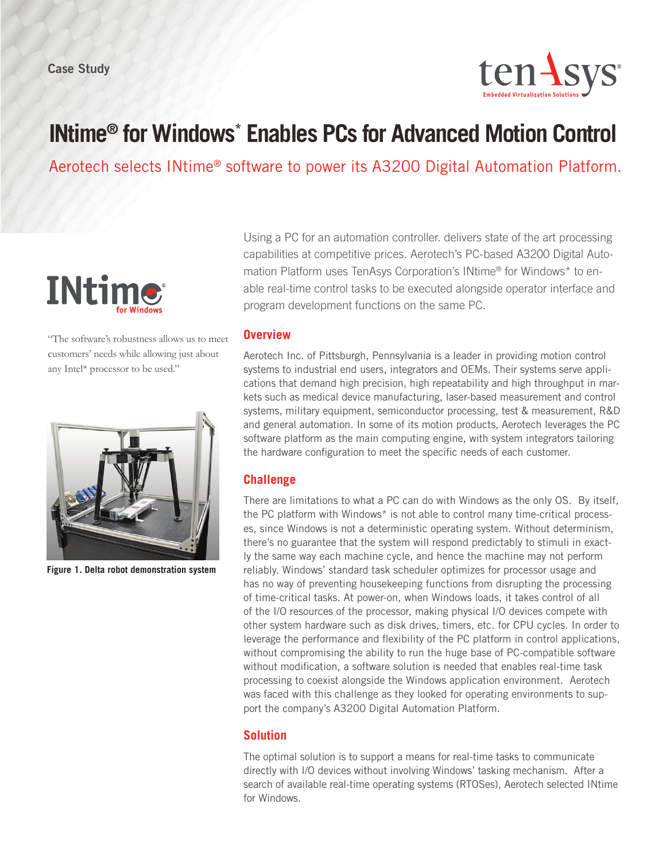Case Study



# **INtime® for Windows\* Enables PCs for Advanced Motion Control**

Aerotech selects INtime® software to power its A3200 Digital Automation Platform.



"The software's robustness allows us to meet customers' needs while allowing just about any Intel\* processor to be used."



**Figure 1. Delta robot demonstration system**

Using a PC for an automation controller. delivers state of the art processing capabilities at competitive prices. Aerotech's PC-based A3200 Digital Automation Platform uses TenAsys Corporation's INtime® for Windows\* to enable real-time control tasks to be executed alongside operator interface and program development functions on the same PC.

#### **Overview**

Aerotech Inc. of Pittsburgh, Pennsylvania is a leader in providing motion control systems to industrial end users, integrators and OEMs. Their systems serve applications that demand high precision, high repeatability and high throughput in markets such as medical device manufacturing, laser-based measurement and control systems, military equipment, semiconductor processing, test & measurement, R&D and general automation. In some of its motion products, Aerotech leverages the PC software platform as the main computing engine, with system integrators tailoring the hardware configuration to meet the specific needs of each customer.

### **Challenge**

There are limitations to what a PC can do with Windows as the only OS. By itself, the PC platform with Windows\* is not able to control many time-critical processes, since Windows is not a deterministic operating system. Without determinism, there's no guarantee that the system will respond predictably to stimuli in exactly the same way each machine cycle, and hence the machine may not perform reliably. Windows' standard task scheduler optimizes for processor usage and has no way of preventing housekeeping functions from disrupting the processing of time-critical tasks. At power-on, when Windows loads, it takes control of all of the I/O resources of the processor, making physical I/O devices compete with other system hardware such as disk drives, timers, etc. for CPU cycles. In order to leverage the performance and flexibility of the PC platform in control applications, without compromising the ability to run the huge base of PC-compatible software without modification, a software solution is needed that enables real-time task processing to coexist alongside the Windows application environment. Aerotech was faced with this challenge as they looked for operating environments to support the company's A3200 Digital Automation Platform.

## **Solution**

The optimal solution is to support a means for real-time tasks to communicate directly with I/O devices without involving Windows' tasking mechanism. After a search of available real-time operating systems (RTOSes), Aerotech selected INtime for Windows.